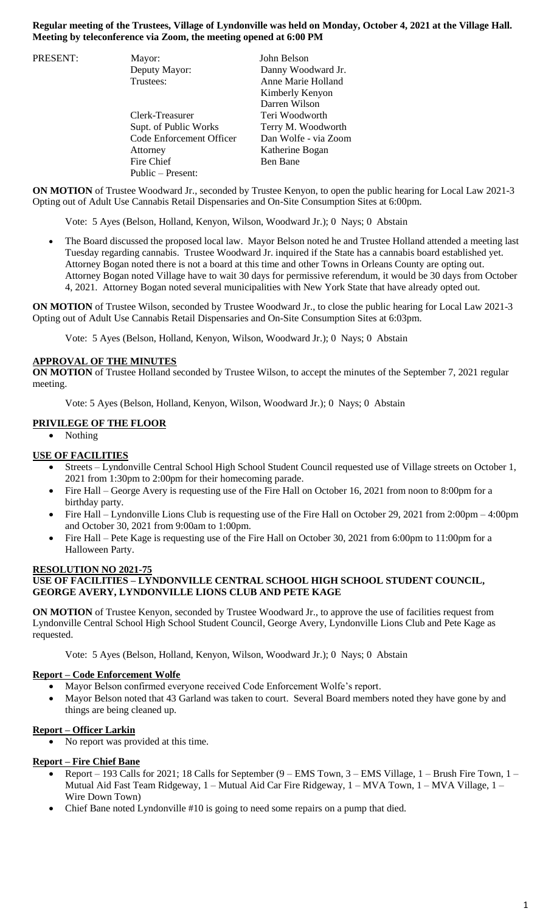## **Regular meeting of the Trustees, Village of Lyndonville was held on Monday, October 4, 2021 at the Village Hall. Meeting by teleconference via Zoom, the meeting opened at 6:00 PM**

| PRESENT: | Mayor:                   | John Belson          |
|----------|--------------------------|----------------------|
|          | Deputy Mayor:            | Danny Woodward Jr.   |
|          | Trustees:                | Anne Marie Holland   |
|          |                          | Kimberly Kenyon      |
|          |                          | Darren Wilson        |
|          | Clerk-Treasurer          | Teri Woodworth       |
|          | Supt. of Public Works    | Terry M. Woodworth   |
|          | Code Enforcement Officer | Dan Wolfe - via Zoom |
|          | Attorney                 | Katherine Bogan      |
|          | Fire Chief               | Ben Bane             |
|          | Public – Present:        |                      |

**ON MOTION** of Trustee Woodward Jr., seconded by Trustee Kenyon, to open the public hearing for Local Law 2021-3 Opting out of Adult Use Cannabis Retail Dispensaries and On-Site Consumption Sites at 6:00pm.

Vote: 5 Ayes (Belson, Holland, Kenyon, Wilson, Woodward Jr.); 0 Nays; 0 Abstain

 The Board discussed the proposed local law. Mayor Belson noted he and Trustee Holland attended a meeting last Tuesday regarding cannabis. Trustee Woodward Jr. inquired if the State has a cannabis board established yet. Attorney Bogan noted there is not a board at this time and other Towns in Orleans County are opting out. Attorney Bogan noted Village have to wait 30 days for permissive referendum, it would be 30 days from October 4, 2021. Attorney Bogan noted several municipalities with New York State that have already opted out.

**ON MOTION** of Trustee Wilson, seconded by Trustee Woodward Jr., to close the public hearing for Local Law 2021-3 Opting out of Adult Use Cannabis Retail Dispensaries and On-Site Consumption Sites at 6:03pm.

Vote: 5 Ayes (Belson, Holland, Kenyon, Wilson, Woodward Jr.); 0 Nays; 0 Abstain

#### **APPROVAL OF THE MINUTES**

**ON MOTION** of Trustee Holland seconded by Trustee Wilson, to accept the minutes of the September 7, 2021 regular meeting.

Vote: 5 Ayes (Belson, Holland, Kenyon, Wilson, Woodward Jr.); 0 Nays; 0 Abstain

## **PRIVILEGE OF THE FLOOR**

• Nothing

#### **USE OF FACILITIES**

- Streets Lyndonville Central School High School Student Council requested use of Village streets on October 1, 2021 from 1:30pm to 2:00pm for their homecoming parade.
- Fire Hall George Avery is requesting use of the Fire Hall on October 16, 2021 from noon to 8:00pm for a birthday party.
- Fire Hall Lyndonville Lions Club is requesting use of the Fire Hall on October 29, 2021 from 2:00pm 4:00pm and October 30, 2021 from 9:00am to 1:00pm.
- Fire Hall Pete Kage is requesting use of the Fire Hall on October 30, 2021 from 6:00pm to 11:00pm for a Halloween Party.

#### **RESOLUTION NO 2021-75 USE OF FACILITIES – LYNDONVILLE CENTRAL SCHOOL HIGH SCHOOL STUDENT COUNCIL, GEORGE AVERY, LYNDONVILLE LIONS CLUB AND PETE KAGE**

**ON MOTION** of Trustee Kenyon, seconded by Trustee Woodward Jr., to approve the use of facilities request from Lyndonville Central School High School Student Council, George Avery, Lyndonville Lions Club and Pete Kage as requested.

Vote: 5 Ayes (Belson, Holland, Kenyon, Wilson, Woodward Jr.); 0 Nays; 0 Abstain

## **Report – Code Enforcement Wolfe**

- Mayor Belson confirmed everyone received Code Enforcement Wolfe's report.
- Mayor Belson noted that 43 Garland was taken to court. Several Board members noted they have gone by and things are being cleaned up.

# **Report – Officer Larkin**

No report was provided at this time.

# **Report – Fire Chief Bane**

- Report 193 Calls for 2021; 18 Calls for September (9 EMS Town, 3 EMS Village, 1 Brush Fire Town, 1 Mutual Aid Fast Team Ridgeway,  $1 -$ Mutual Aid Car Fire Ridgeway,  $1 -$ MVA Town,  $1 -$ MVA Village,  $1 -$ Wire Down Town)
- Chief Bane noted Lyndonville #10 is going to need some repairs on a pump that died.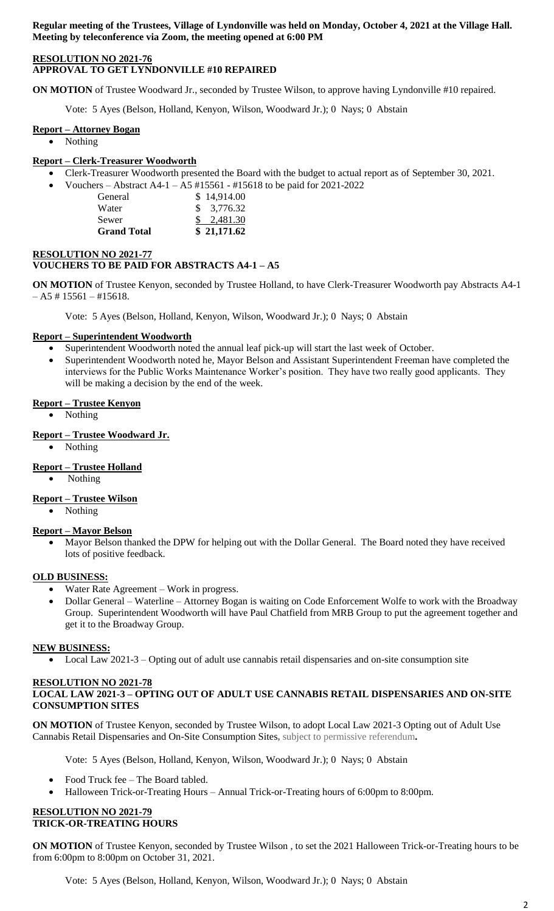**Regular meeting of the Trustees, Village of Lyndonville was held on Monday, October 4, 2021 at the Village Hall. Meeting by teleconference via Zoom, the meeting opened at 6:00 PM**

## **RESOLUTION NO 2021-76 APPROVAL TO GET LYNDONVILLE #10 REPAIRED**

**ON MOTION** of Trustee Woodward Jr., seconded by Trustee Wilson, to approve having Lyndonville #10 repaired.

Vote: 5 Ayes (Belson, Holland, Kenyon, Wilson, Woodward Jr.); 0 Nays; 0 Abstain

#### **Report – Attorney Bogan**

• Nothing

## **Report – Clerk-Treasurer Woodworth**

- Clerk-Treasurer Woodworth presented the Board with the budget to actual report as of September 30, 2021.
	- Vouchers Abstract A4-1 A5 #15561 #15618 to be paid for 2021-2022 General \$ 14,914.00 Water \$ 3,776.32
		- Sewer \$ 2,481.30 **Grand Total \$ 21,171.62**

## **RESOLUTION NO 2021-77 VOUCHERS TO BE PAID FOR ABSTRACTS A4-1 – A5**

**ON MOTION** of Trustee Kenyon, seconded by Trustee Holland, to have Clerk-Treasurer Woodworth pay Abstracts A4-1  $- A5 \# 15561 - \#15618.$ 

Vote: 5 Ayes (Belson, Holland, Kenyon, Wilson, Woodward Jr.); 0 Nays; 0 Abstain

#### **Report – Superintendent Woodworth**

- Superintendent Woodworth noted the annual leaf pick-up will start the last week of October.
- Superintendent Woodworth noted he, Mayor Belson and Assistant Superintendent Freeman have completed the interviews for the Public Works Maintenance Worker's position. They have two really good applicants. They will be making a decision by the end of the week.

#### **Report – Trustee Kenyon**

- Nothing
- **Report – Trustee Woodward Jr.**
	- Nothing

## **Report – Trustee Holland**

Nothing

#### **Report – Trustee Wilson**

• Nothing

#### **Report – Mayor Belson**

 Mayor Belson thanked the DPW for helping out with the Dollar General. The Board noted they have received lots of positive feedback.

#### **OLD BUSINESS:**

- Water Rate Agreement Work in progress.
- Dollar General Waterline Attorney Bogan is waiting on Code Enforcement Wolfe to work with the Broadway Group. Superintendent Woodworth will have Paul Chatfield from MRB Group to put the agreement together and get it to the Broadway Group.

## **NEW BUSINESS:**

Local Law 2021-3 – Opting out of adult use cannabis retail dispensaries and on-site consumption site

#### **RESOLUTION NO 2021-78 LOCAL LAW 2021-3 – OPTING OUT OF ADULT USE CANNABIS RETAIL DISPENSARIES AND ON-SITE CONSUMPTION SITES**

**ON MOTION** of Trustee Kenyon, seconded by Trustee Wilson, to adopt Local Law 2021-3 Opting out of Adult Use Cannabis Retail Dispensaries and On-Site Consumption Sites**,** subject to permissive referendum**.** 

Vote: 5 Ayes (Belson, Holland, Kenyon, Wilson, Woodward Jr.); 0 Nays; 0 Abstain

- Food Truck fee The Board tabled.
- Halloween Trick-or-Treating Hours Annual Trick-or-Treating hours of 6:00pm to 8:00pm.

#### **RESOLUTION NO 2021-79 TRICK-OR-TREATING HOURS**

**ON MOTION** of Trustee Kenyon, seconded by Trustee Wilson , to set the 2021 Halloween Trick-or-Treating hours to be from 6:00pm to 8:00pm on October 31, 2021.

Vote: 5 Ayes (Belson, Holland, Kenyon, Wilson, Woodward Jr.); 0 Nays; 0 Abstain